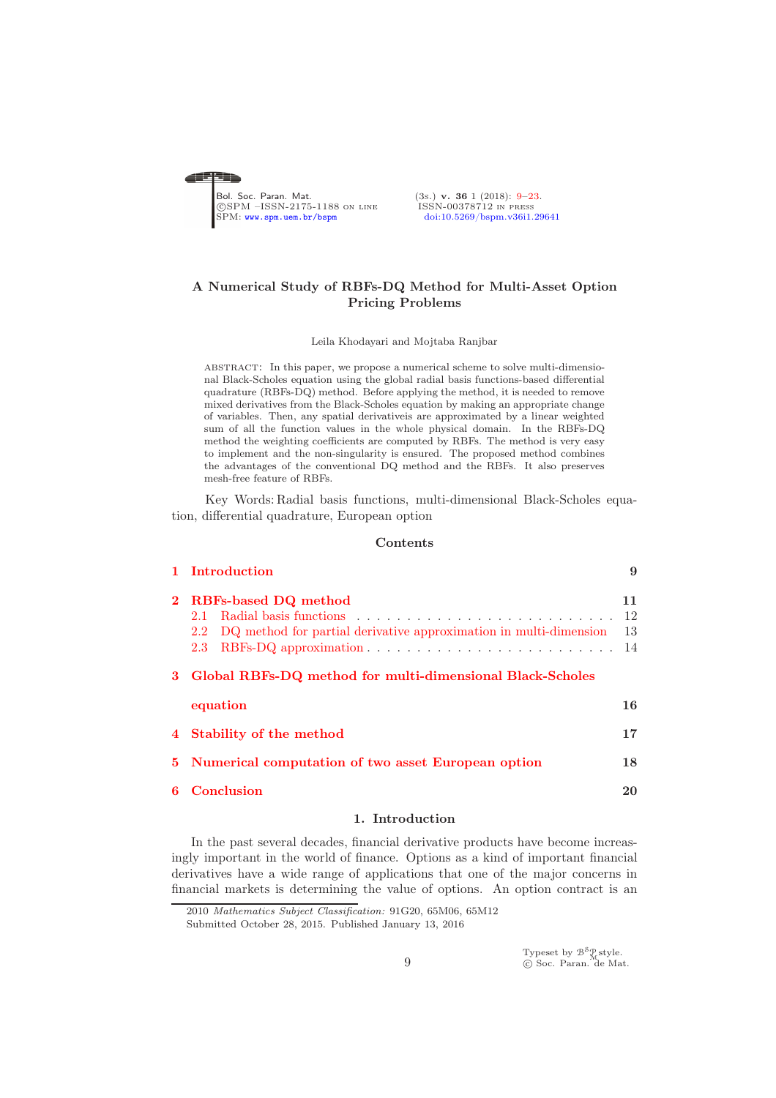<span id="page-0-0"></span>

# A Numerical Study of RBFs-DQ Method for Multi-Asset Option Pricing Problems

Leila Khodayari and Mojtaba Ranjbar

abstract: In this paper, we propose a numerical scheme to solve multi-dimensional Black-Scholes equation using the global radial basis functions-based differential quadrature (RBFs-DQ) method. Before applying the method, it is needed to remove mixed derivatives from the Black-Scholes equation by making an appropriate change of variables. Then, any spatial derivativeis are approximated by a linear weighted sum of all the function values in the whole physical domain. In the RBFs-DQ method the weighting coefficients are computed by RBFs. The method is very easy to implement and the non-singularity is ensured. The proposed method combines the advantages of the conventional DQ method and the RBFs. It also preserves mesh-free feature of RBFs.

Key Words: Radial basis functions, multi-dimensional Black-Scholes equation, differential quadrature, European option

### Contents

| 1 Introduction                                                                                                                                                                  | 9              |
|---------------------------------------------------------------------------------------------------------------------------------------------------------------------------------|----------------|
| 2 RBFs-based DQ method<br>2.1<br>DQ method for partial derivative approximation in multi-dimension<br>2.2<br>2.3<br>3 Global RBFs-DQ method for multi-dimensional Black-Scholes | 11<br>12<br>13 |
| equation                                                                                                                                                                        | 16             |
| 4 Stability of the method                                                                                                                                                       | 17             |
| 5 Numerical computation of two asset European option                                                                                                                            | 18             |
| 6 Conclusion                                                                                                                                                                    | 20             |

#### 1. Introduction

<span id="page-0-1"></span>In the past several decades, financial derivative products have become increasingly important in the world of finance. Options as a kind of important financial derivatives have a wide range of applications that one of the major concerns in financial markets is determining the value of options. An option contract is an

Typeset by  $\mathcal{B}^{\mathcal{S}}_{\mathcal{M}}$ style.<br>© Soc. Paran. de Mat.

<sup>2010</sup> Mathematics Subject Classification: 91G20, 65M06, 65M12

Submitted October 28, 2015. Published January 13, 2016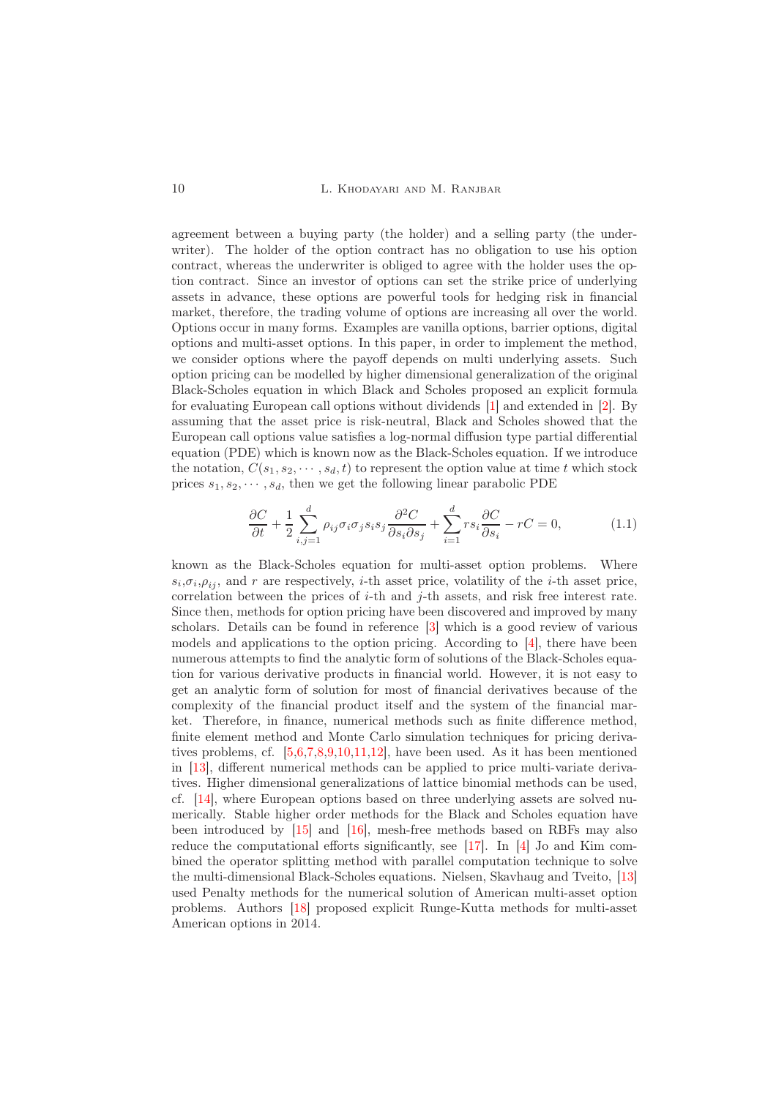agreement between a buying party (the holder) and a selling party (the underwriter). The holder of the option contract has no obligation to use his option contract, whereas the underwriter is obliged to agree with the holder uses the option contract. Since an investor of options can set the strike price of underlying assets in advance, these options are powerful tools for hedging risk in financial market, therefore, the trading volume of options are increasing all over the world. Options occur in many forms. Examples are vanilla options, barrier options, digital options and multi-asset options. In this paper, in order to implement the method, we consider options where the payoff depends on multi underlying assets. Such option pricing can be modelled by higher dimensional generalization of the original Black-Scholes equation in which Black and Scholes proposed an explicit formula for evaluating European call options without dividends [\[1\]](#page-13-1) and extended in [\[2\]](#page-13-2). By assuming that the asset price is risk-neutral, Black and Scholes showed that the European call options value satisfies a log-normal diffusion type partial differential equation (PDE) which is known now as the Black-Scholes equation. If we introduce the notation,  $C(s_1, s_2, \dots, s_d, t)$  to represent the option value at time t which stock prices  $s_1, s_2, \dots, s_d$ , then we get the following linear parabolic PDE

<span id="page-1-0"></span>
$$
\frac{\partial C}{\partial t} + \frac{1}{2} \sum_{i,j=1}^{d} \rho_{ij} \sigma_i \sigma_j s_i s_j \frac{\partial^2 C}{\partial s_i \partial s_j} + \sum_{i=1}^{d} r s_i \frac{\partial C}{\partial s_i} - rC = 0, \tag{1.1}
$$

known as the Black-Scholes equation for multi-asset option problems. Where  $s_i, \sigma_i, \rho_{ij}$ , and r are respectively, *i*-th asset price, volatility of the *i*-th asset price, correlation between the prices of  $i$ -th and  $j$ -th assets, and risk free interest rate. Since then, methods for option pricing have been discovered and improved by many scholars. Details can be found in reference [\[3\]](#page-13-3) which is a good review of various models and applications to the option pricing. According to [\[4\]](#page-13-4), there have been numerous attempts to find the analytic form of solutions of the Black-Scholes equation for various derivative products in financial world. However, it is not easy to get an analytic form of solution for most of financial derivatives because of the complexity of the financial product itself and the system of the financial market. Therefore, in finance, numerical methods such as finite difference method, finite element method and Monte Carlo simulation techniques for pricing derivatives problems, cf. [\[5,](#page-13-5)[6](#page-13-6)[,7](#page-13-7)[,8](#page-13-8)[,9,](#page-13-9)[10](#page-13-10)[,11](#page-13-11)[,12\]](#page-13-12), have been used. As it has been mentioned in [\[13\]](#page-13-13), different numerical methods can be applied to price multi-variate derivatives. Higher dimensional generalizations of lattice binomial methods can be used, cf. [\[14\]](#page-13-14), where European options based on three underlying assets are solved numerically. Stable higher order methods for the Black and Scholes equation have been introduced by [\[15\]](#page-13-15) and [\[16\]](#page-13-16), mesh-free methods based on RBFs may also reduce the computational efforts significantly, see [\[17\]](#page-13-17). In [\[4\]](#page-13-4) Jo and Kim combined the operator splitting method with parallel computation technique to solve the multi-dimensional Black-Scholes equations. Nielsen, Skavhaug and Tveito, [\[13\]](#page-13-13) used Penalty methods for the numerical solution of American multi-asset option problems. Authors [\[18\]](#page-13-18) proposed explicit Runge-Kutta methods for multi-asset American options in 2014.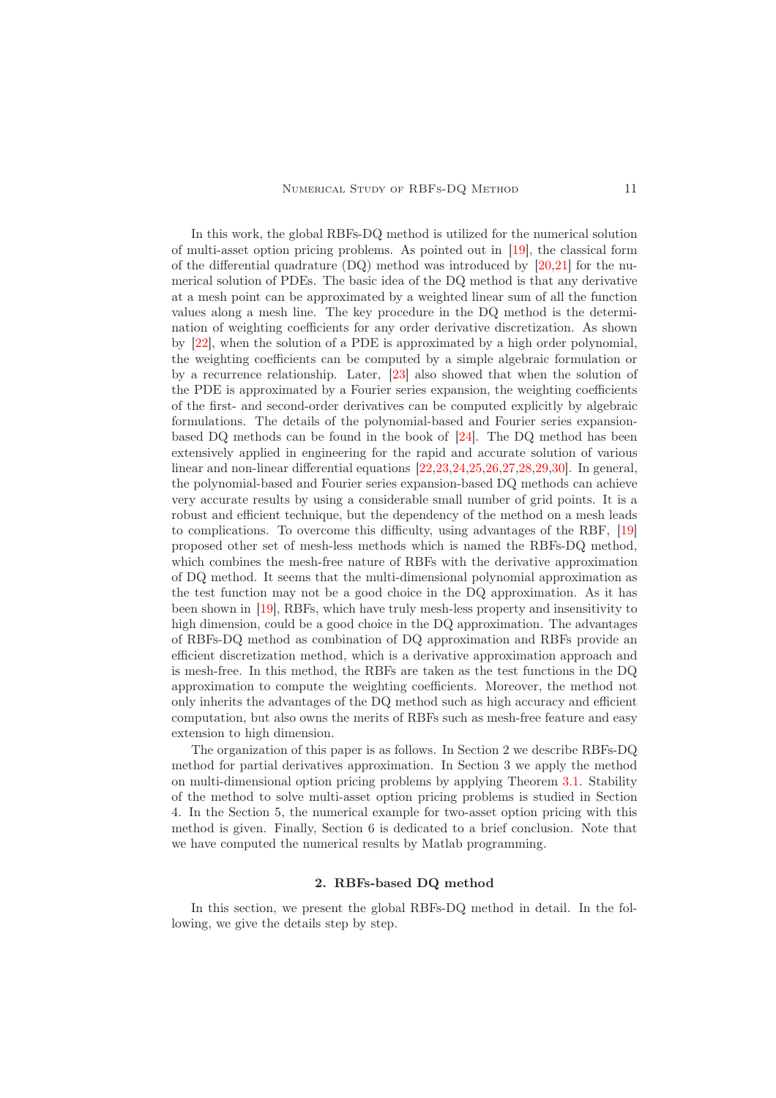In this work, the global RBFs-DQ method is utilized for the numerical solution of multi-asset option pricing problems. As pointed out in [\[19\]](#page-13-19), the classical form of the differential quadrature  $(DQ)$  method was introduced by [\[20,](#page-14-0)[21\]](#page-14-1) for the numerical solution of PDEs. The basic idea of the DQ method is that any derivative at a mesh point can be approximated by a weighted linear sum of all the function values along a mesh line. The key procedure in the DQ method is the determination of weighting coefficients for any order derivative discretization. As shown by [\[22\]](#page-14-2), when the solution of a PDE is approximated by a high order polynomial, the weighting coefficients can be computed by a simple algebraic formulation or by a recurrence relationship. Later, [\[23\]](#page-14-3) also showed that when the solution of the PDE is approximated by a Fourier series expansion, the weighting coefficients of the first- and second-order derivatives can be computed explicitly by algebraic formulations. The details of the polynomial-based and Fourier series expansionbased DQ methods can be found in the book of [\[24\]](#page-14-4). The DQ method has been extensively applied in engineering for the rapid and accurate solution of various linear and non-linear differential equations [\[22](#page-14-2)[,23](#page-14-3)[,24,](#page-14-4)[25,](#page-14-5)[26](#page-14-6)[,27,](#page-14-7)[28,](#page-14-8)[29](#page-14-9)[,30\]](#page-14-10). In general, the polynomial-based and Fourier series expansion-based DQ methods can achieve very accurate results by using a considerable small number of grid points. It is a robust and efficient technique, but the dependency of the method on a mesh leads to complications. To overcome this difficulty, using advantages of the RBF, [\[19\]](#page-13-19) proposed other set of mesh-less methods which is named the RBFs-DQ method, which combines the mesh-free nature of RBFs with the derivative approximation of DQ method. It seems that the multi-dimensional polynomial approximation as the test function may not be a good choice in the DQ approximation. As it has been shown in [\[19\]](#page-13-19), RBFs, which have truly mesh-less property and insensitivity to high dimension, could be a good choice in the DQ approximation. The advantages of RBFs-DQ method as combination of DQ approximation and RBFs provide an efficient discretization method, which is a derivative approximation approach and is mesh-free. In this method, the RBFs are taken as the test functions in the DQ approximation to compute the weighting coefficients. Moreover, the method not only inherits the advantages of the DQ method such as high accuracy and efficient computation, but also owns the merits of RBFs such as mesh-free feature and easy extension to high dimension.

The organization of this paper is as follows. In Section 2 we describe RBFs-DQ method for partial derivatives approximation. In Section 3 we apply the method on multi-dimensional option pricing problems by applying Theorem [3.1.](#page-7-1) Stability of the method to solve multi-asset option pricing problems is studied in Section 4. In the Section 5, the numerical example for two-asset option pricing with this method is given. Finally, Section 6 is dedicated to a brief conclusion. Note that we have computed the numerical results by Matlab programming.

# 2. RBFs-based DQ method

<span id="page-2-0"></span>In this section, we present the global RBFs-DQ method in detail. In the following, we give the details step by step.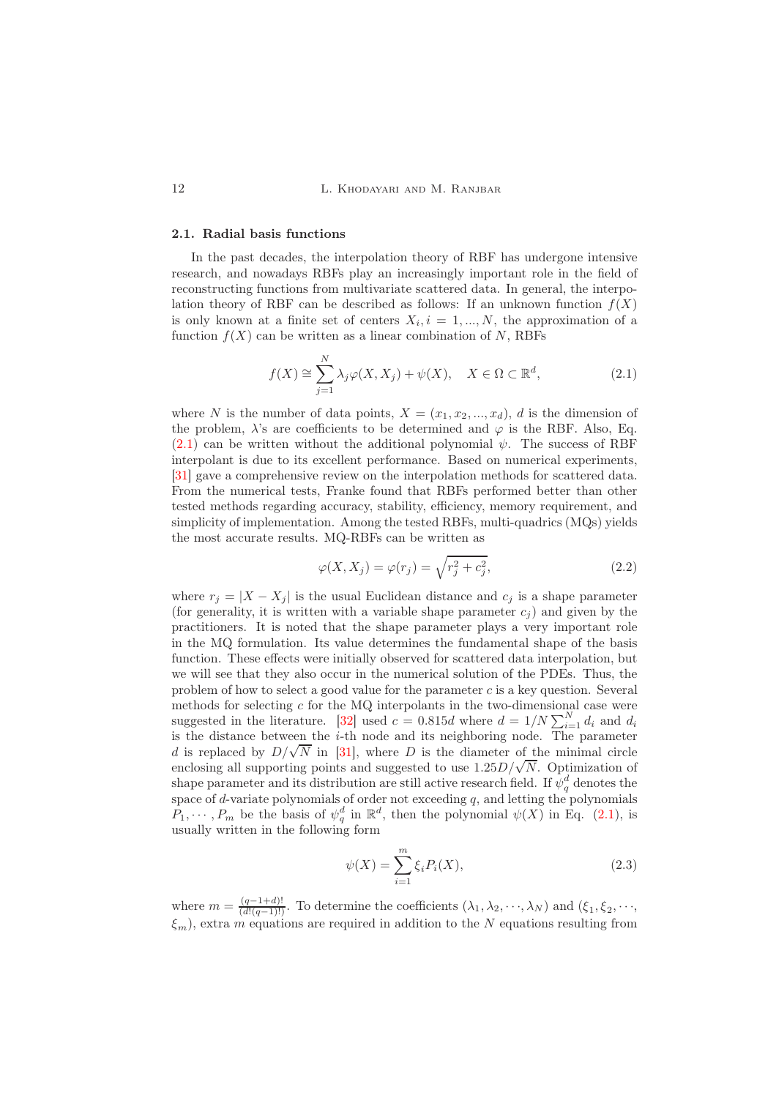## <span id="page-3-0"></span>2.1. Radial basis functions

In the past decades, the interpolation theory of RBF has undergone intensive research, and nowadays RBFs play an increasingly important role in the field of reconstructing functions from multivariate scattered data. In general, the interpolation theory of RBF can be described as follows: If an unknown function  $f(X)$ is only known at a finite set of centers  $X_i, i = 1, ..., N$ , the approximation of a function  $f(X)$  can be written as a linear combination of N, RBFs

<span id="page-3-1"></span>
$$
f(X) \cong \sum_{j=1}^{N} \lambda_j \varphi(X, X_j) + \psi(X), \quad X \in \Omega \subset \mathbb{R}^d,
$$
\n(2.1)

where N is the number of data points,  $X = (x_1, x_2, ..., x_d)$ , d is the dimension of the problem,  $\lambda$ 's are coefficients to be determined and  $\varphi$  is the RBF. Also, Eq.  $(2.1)$  can be written without the additional polynomial  $\psi$ . The success of RBF interpolant is due to its excellent performance. Based on numerical experiments, [\[31\]](#page-14-11) gave a comprehensive review on the interpolation methods for scattered data. From the numerical tests, Franke found that RBFs performed better than other tested methods regarding accuracy, stability, efficiency, memory requirement, and simplicity of implementation. Among the tested RBFs, multi-quadrics (MQs) yields the most accurate results. MQ-RBFs can be written as

$$
\varphi(X, X_j) = \varphi(r_j) = \sqrt{r_j^2 + c_j^2},\tag{2.2}
$$

where  $r_j = |X - X_j|$  is the usual Euclidean distance and  $c_j$  is a shape parameter (for generality, it is written with a variable shape parameter  $c_i$ ) and given by the practitioners. It is noted that the shape parameter plays a very important role in the MQ formulation. Its value determines the fundamental shape of the basis function. These effects were initially observed for scattered data interpolation, but we will see that they also occur in the numerical solution of the PDEs. Thus, the problem of how to select a good value for the parameter  $c$  is a key question. Several methods for selecting  $c$  for the MQ interpolants in the two-dimensional case were suggested in the literature. [\[32\]](#page-14-12) used  $c = 0.815d$  where  $d = 1/N \sum_{i=1}^{N} d_i$  and  $d_i$ is the distance between the *i*-th node and its neighboring node. The parameter d is replaced by  $D/\sqrt{N}$  in [\[31\]](#page-14-11), where D is the diameter of the minimal circle enclosing all supporting points and suggested to use  $1.25D/\sqrt{N}$ . Optimization of shape parameter and its distribution are still active research field. If  $\psi_q^d$  denotes the space of  $d$ -variate polynomials of order not exceeding  $q$ , and letting the polynomials  $P_1, \dots, P_m$  be the basis of  $\psi_q^d$  in  $\mathbb{R}^d$ , then the polynomial  $\psi(X)$  in Eq. [\(2.1\)](#page-3-1), is usually written in the following form

$$
\psi(X) = \sum_{i=1}^{m} \xi_i P_i(X),
$$
\n(2.3)

where  $m = \frac{(q-1+d)!}{(d!(q-1)!)}$ . To determine the coefficients  $(\lambda_1, \lambda_2, \dots, \lambda_N)$  and  $(\xi_1, \xi_2, \dots, \xi_N)$  $\xi_m$ , extra m equations are required in addition to the N equations resulting from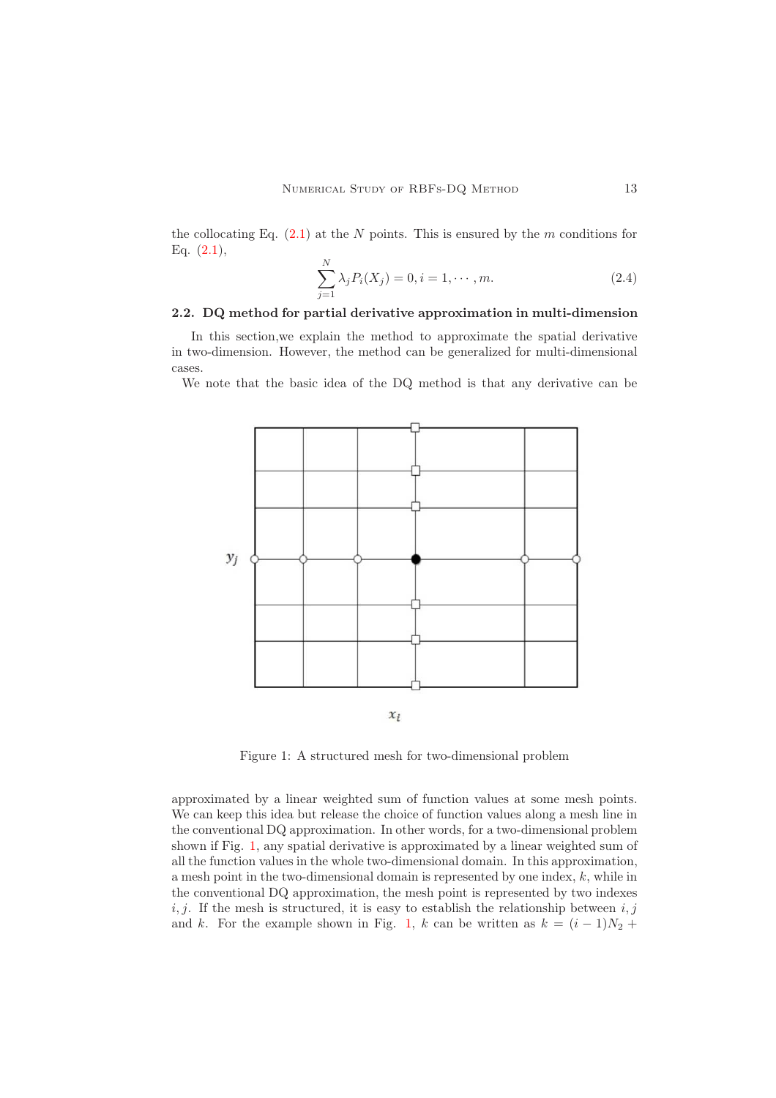the collocating Eq.  $(2.1)$  at the N points. This is ensured by the m conditions for Eq. [\(2.1\)](#page-3-1),

<span id="page-4-2"></span>
$$
\sum_{j=1}^{N} \lambda_j P_i(X_j) = 0, i = 1, \cdots, m.
$$
 (2.4)

## <span id="page-4-0"></span>2.2. DQ method for partial derivative approximation in multi-dimension

In this section,we explain the method to approximate the spatial derivative in two-dimension. However, the method can be generalized for multi-dimensional cases.

We note that the basic idea of the DQ method is that any derivative can be



<span id="page-4-1"></span>Figure 1: A structured mesh for two-dimensional problem

approximated by a linear weighted sum of function values at some mesh points. We can keep this idea but release the choice of function values along a mesh line in the conventional DQ approximation. In other words, for a two-dimensional problem shown if Fig. [1,](#page-4-1) any spatial derivative is approximated by a linear weighted sum of all the function values in the whole two-dimensional domain. In this approximation, a mesh point in the two-dimensional domain is represented by one index, k, while in the conventional DQ approximation, the mesh point is represented by two indexes  $i, j$ . If the mesh is structured, it is easy to establish the relationship between  $i, j$ and k. For the example shown in Fig. [1,](#page-4-1) k can be written as  $k = (i - 1)N_2 +$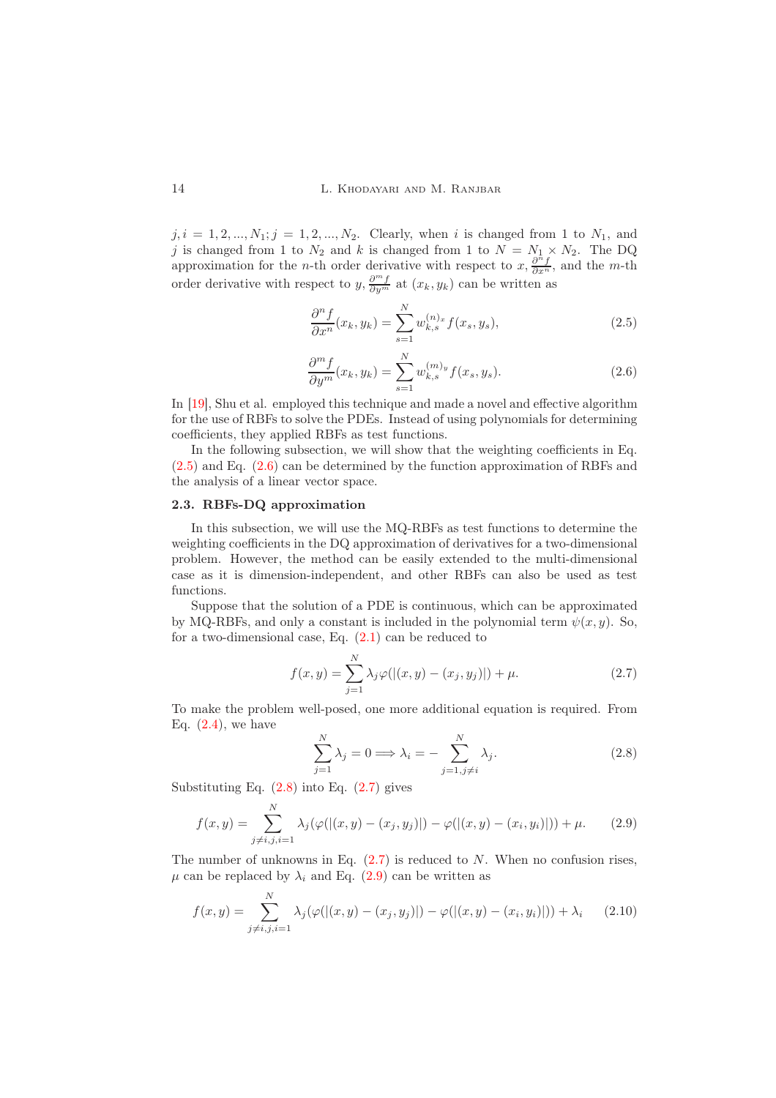$j, i = 1, 2, ..., N_1; j = 1, 2, ..., N_2$ . Clearly, when i is changed from 1 to  $N_1$ , and j is changed from 1 to  $N_2$  and k is changed from 1 to  $N = N_1 \times N_2$ . The DQ approximation for the *n*-th order derivative with respect to  $x, \frac{\partial^n f}{\partial x^n}$ , and the *m*-th order derivative with respect to  $y, \frac{\partial^m f}{\partial y^m}$  at  $(x_k, y_k)$  can be written as

<span id="page-5-1"></span>
$$
\frac{\partial^n f}{\partial x^n}(x_k, y_k) = \sum_{s=1}^N w_{k,s}^{(n)_x} f(x_s, y_s),\tag{2.5}
$$

<span id="page-5-2"></span>
$$
\frac{\partial^m f}{\partial y^m}(x_k, y_k) = \sum_{s=1}^N w_{k,s}^{(m)_y} f(x_s, y_s).
$$
 (2.6)

In [\[19\]](#page-13-19), Shu et al. employed this technique and made a novel and effective algorithm for the use of RBFs to solve the PDEs. Instead of using polynomials for determining coefficients, they applied RBFs as test functions.

In the following subsection, we will show that the weighting coefficients in Eq. [\(2.5\)](#page-5-1) and Eq. [\(2.6\)](#page-5-2) can be determined by the function approximation of RBFs and the analysis of a linear vector space.

## <span id="page-5-0"></span>2.3. RBFs-DQ approximation

In this subsection, we will use the MQ-RBFs as test functions to determine the weighting coefficients in the DQ approximation of derivatives for a two-dimensional problem. However, the method can be easily extended to the multi-dimensional case as it is dimension-independent, and other RBFs can also be used as test functions.

Suppose that the solution of a PDE is continuous, which can be approximated by MQ-RBFs, and only a constant is included in the polynomial term  $\psi(x, y)$ . So, for a two-dimensional case, Eq.  $(2.1)$  can be reduced to

<span id="page-5-4"></span>
$$
f(x,y) = \sum_{j=1}^{N} \lambda_j \varphi(|(x,y) - (x_j, y_j)|) + \mu.
$$
 (2.7)

To make the problem well-posed, one more additional equation is required. From Eq.  $(2.4)$ , we have

<span id="page-5-3"></span>
$$
\sum_{j=1}^{N} \lambda_j = 0 \Longrightarrow \lambda_i = -\sum_{j=1, j \neq i}^{N} \lambda_j.
$$
 (2.8)

Substituting Eq.  $(2.8)$  into Eq.  $(2.7)$  gives

<span id="page-5-5"></span>
$$
f(x,y) = \sum_{j \neq i,j,i=1}^{N} \lambda_j(\varphi(|(x,y) - (x_j, y_j)|) - \varphi(|(x,y) - (x_i, y_i)|)) + \mu.
$$
 (2.9)

The number of unknowns in Eq.  $(2.7)$  is reduced to N. When no confusion rises,  $\mu$  can be replaced by  $\lambda_i$  and Eq. [\(2.9\)](#page-5-5) can be written as

<span id="page-5-6"></span>
$$
f(x,y) = \sum_{j \neq i,j,i=1}^{N} \lambda_j(\varphi(|(x,y) - (x_j, y_j)|) - \varphi(|(x,y) - (x_i, y_i)|)) + \lambda_i \qquad (2.10)
$$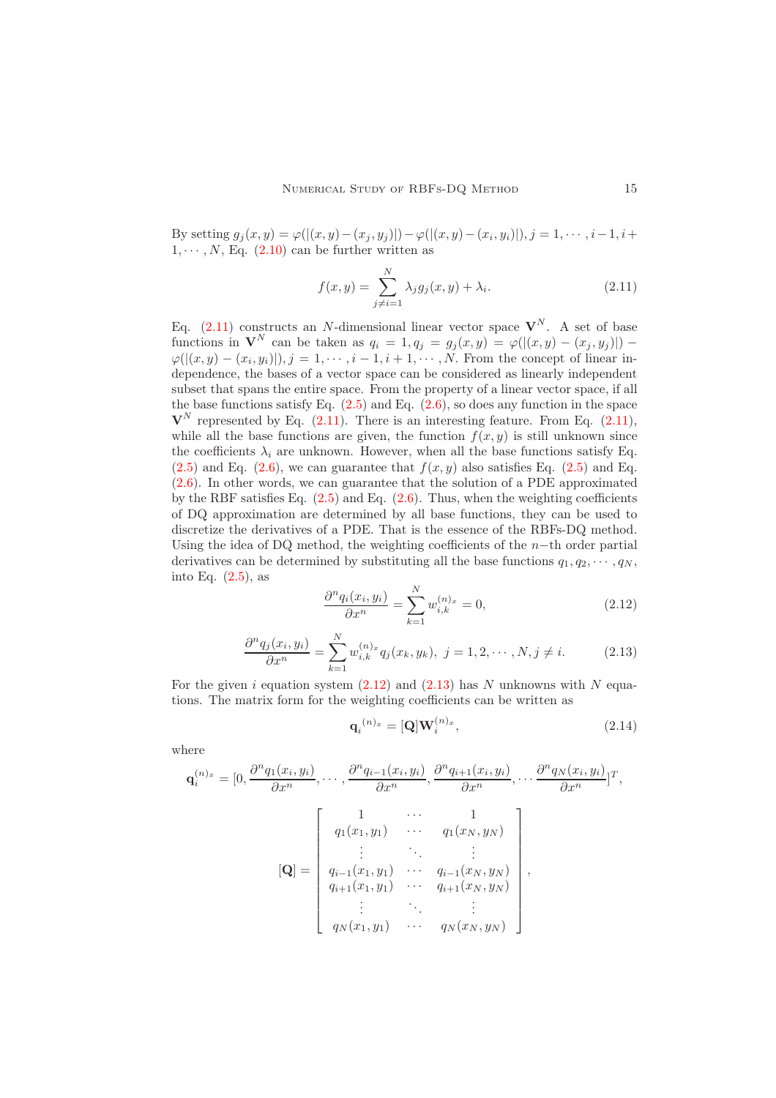By setting  $g_j(x, y) = \varphi(|(x, y) - (x_j, y_j)|) - \varphi(|(x, y) - (x_i, y_i)|), j = 1, \dots, i-1, i+1$  $1, \cdots, N$ , Eq. [\(2.10\)](#page-5-6) can be further written as

<span id="page-6-0"></span>
$$
f(x,y) = \sum_{j \neq i=1}^{N} \lambda_j g_j(x,y) + \lambda_i.
$$
 (2.11)

Eq.  $(2.11)$  constructs an N-dimensional linear vector space  $V^N$ . A set of base functions in  $\mathbf{V}^{N}$  can be taken as  $q_{i} = 1, q_{j} = g_{j}(x, y) = \varphi(|(x, y) - (x_{j}, y_{j})|)$  $\varphi(|(x,y)-(x_i,y_i)|), j=1,\cdots,i-1,i+1,\cdots,N.$  From the concept of linear independence, the bases of a vector space can be considered as linearly independent subset that spans the entire space. From the property of a linear vector space, if all the base functions satisfy Eq.  $(2.5)$  and Eq.  $(2.6)$ , so does any function in the space  $V^N$  represented by Eq.  $(2.11)$ . There is an interesting feature. From Eq.  $(2.11)$ , while all the base functions are given, the function  $f(x, y)$  is still unknown since the coefficients  $\lambda_i$  are unknown. However, when all the base functions satisfy Eq.  $(2.5)$  and Eq.  $(2.6)$ , we can guarantee that  $f(x, y)$  also satisfies Eq.  $(2.5)$  and Eq. [\(2.6\)](#page-5-2). In other words, we can guarantee that the solution of a PDE approximated by the RBF satisfies Eq.  $(2.5)$  and Eq.  $(2.6)$ . Thus, when the weighting coefficients of DQ approximation are determined by all base functions, they can be used to discretize the derivatives of a PDE. That is the essence of the RBFs-DQ method. Using the idea of DQ method, the weighting coefficients of the  $n$ -th order partial derivatives can be determined by substituting all the base functions  $q_1, q_2, \cdots, q_N$ , into Eq. [\(2.5\)](#page-5-1), as

<span id="page-6-1"></span>
$$
\frac{\partial^n q_i(x_i, y_i)}{\partial x^n} = \sum_{k=1}^N w_{i,k}^{(n)_x} = 0,
$$
\n(2.12)

<span id="page-6-2"></span>
$$
\frac{\partial^n q_j(x_i, y_i)}{\partial x^n} = \sum_{k=1}^N w_{i,k}^{(n)_x} q_j(x_k, y_k), \ j = 1, 2, \cdots, N, j \neq i. \tag{2.13}
$$

For the given i equation system  $(2.12)$  and  $(2.13)$  has N unknowns with N equations. The matrix form for the weighting coefficients can be written as

$$
\mathbf{q}_i^{(n)_x} = [\mathbf{Q}]\mathbf{W}_i^{(n)_x},\tag{2.14}
$$

where

$$
\mathbf{q}_{i}^{(n)_{x}} = [0, \frac{\partial^{n}q_{1}(x_{i}, y_{i})}{\partial x^{n}}, \cdots, \frac{\partial^{n}q_{i-1}(x_{i}, y_{i})}{\partial x^{n}}, \frac{\partial^{n}q_{i+1}(x_{i}, y_{i})}{\partial x^{n}}, \cdots, \frac{\partial^{n}q_{N}(x_{i}, y_{i})}{\partial x^{n}}]^{T},
$$

$$
[Q] = \begin{bmatrix} 1 & \cdots & 1 \\ q_{1}(x_{1}, y_{1}) & \cdots & q_{1}(x_{N}, y_{N}) \\ \vdots & \ddots & \vdots \\ q_{i-1}(x_{1}, y_{1}) & \cdots & q_{i-1}(x_{N}, y_{N}) \\ q_{i+1}(x_{1}, y_{1}) & \cdots & q_{i+1}(x_{N}, y_{N}) \\ \vdots & \ddots & \vdots \\ q_{N}(x_{1}, y_{1}) & \cdots & q_{N}(x_{N}, y_{N}) \end{bmatrix},
$$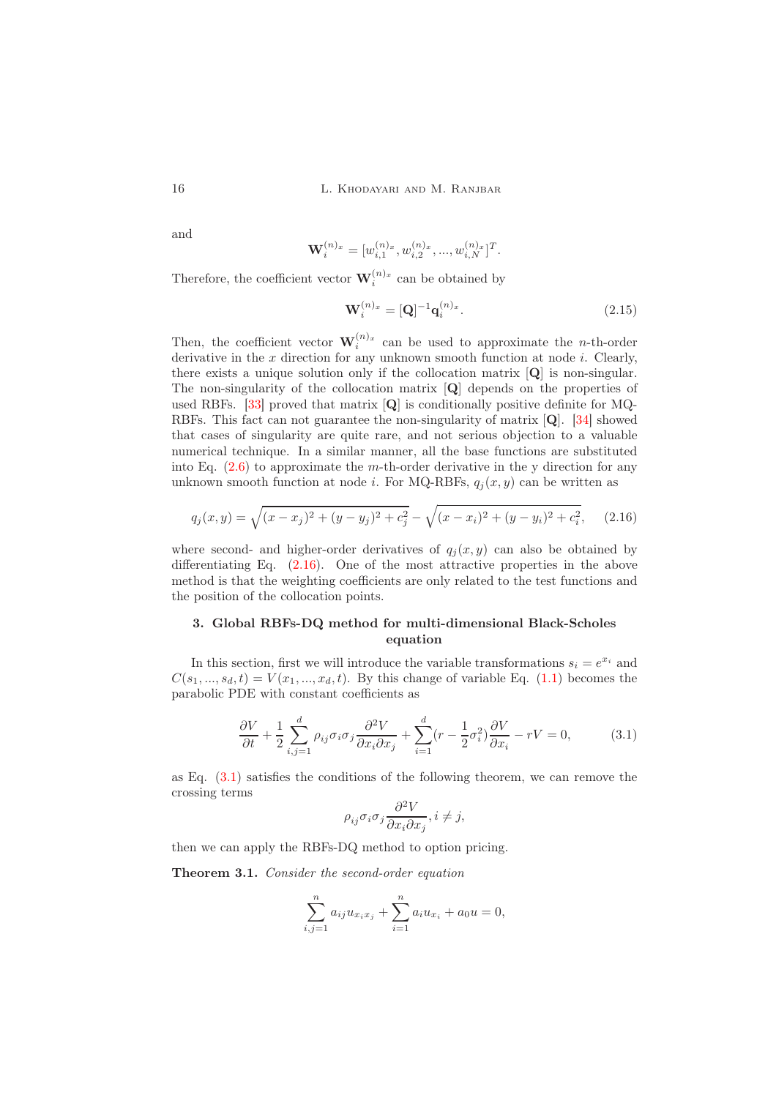and

$$
\mathbf{W}_i^{(n)_x} = [w_{i,1}^{(n)_x}, w_{i,2}^{(n)_x}, ..., w_{i,N}^{(n)_x}]^T.
$$

Therefore, the coefficient vector  $\mathbf{W}_i^{(n)_x}$  can be obtained by

$$
\mathbf{W}_i^{(n)_x} = [\mathbf{Q}]^{-1} \mathbf{q}_i^{(n)_x}.
$$
\n(2.15)

Then, the coefficient vector  $\mathbf{W}_i^{(n)x}$  can be used to approximate the *n*-th-order derivative in the  $x$  direction for any unknown smooth function at node  $i$ . Clearly, there exists a unique solution only if the collocation matrix [Q] is non-singular. The non-singularity of the collocation matrix [Q] depends on the properties of used RBFs. [\[33\]](#page-14-13) proved that matrix [Q] is conditionally positive definite for MQ-RBFs. This fact can not guarantee the non-singularity of matrix [Q]. [\[34\]](#page-14-14) showed that cases of singularity are quite rare, and not serious objection to a valuable numerical technique. In a similar manner, all the base functions are substituted into Eq.  $(2.6)$  to approximate the *m*-th-order derivative in the y direction for any unknown smooth function at node *i*. For MQ-RBFs,  $q_i(x, y)$  can be written as

<span id="page-7-2"></span>
$$
q_j(x,y) = \sqrt{(x-x_j)^2 + (y-y_j)^2 + c_j^2} - \sqrt{(x-x_i)^2 + (y-y_i)^2 + c_i^2},
$$
 (2.16)

where second- and higher-order derivatives of  $q_i(x, y)$  can also be obtained by differentiating Eq. [\(2.16\)](#page-7-2). One of the most attractive properties in the above method is that the weighting coefficients are only related to the test functions and the position of the collocation points.

## <span id="page-7-0"></span>3. Global RBFs-DQ method for multi-dimensional Black-Scholes equation

In this section, first we will introduce the variable transformations  $s_i = e^{x_i}$  and  $C(s_1, ..., s_d, t) = V(x_1, ..., x_d, t)$ . By this change of variable Eq. [\(1.1\)](#page-1-0) becomes the parabolic PDE with constant coefficients as

<span id="page-7-3"></span>
$$
\frac{\partial V}{\partial t} + \frac{1}{2} \sum_{i,j=1}^{d} \rho_{ij} \sigma_i \sigma_j \frac{\partial^2 V}{\partial x_i \partial x_j} + \sum_{i=1}^{d} (r - \frac{1}{2} \sigma_i^2) \frac{\partial V}{\partial x_i} - rV = 0, \tag{3.1}
$$

as Eq. [\(3.1\)](#page-7-3) satisfies the conditions of the following theorem, we can remove the crossing terms

$$
\rho_{ij}\sigma_i\sigma_j\frac{\partial^2 V}{\partial x_i \partial x_j}, i \neq j,
$$

then we can apply the RBFs-DQ method to option pricing.

<span id="page-7-1"></span>Theorem 3.1. Consider the second-order equation

$$
\sum_{i,j=1}^{n} a_{ij} u_{x_i x_j} + \sum_{i=1}^{n} a_i u_{x_i} + a_0 u = 0,
$$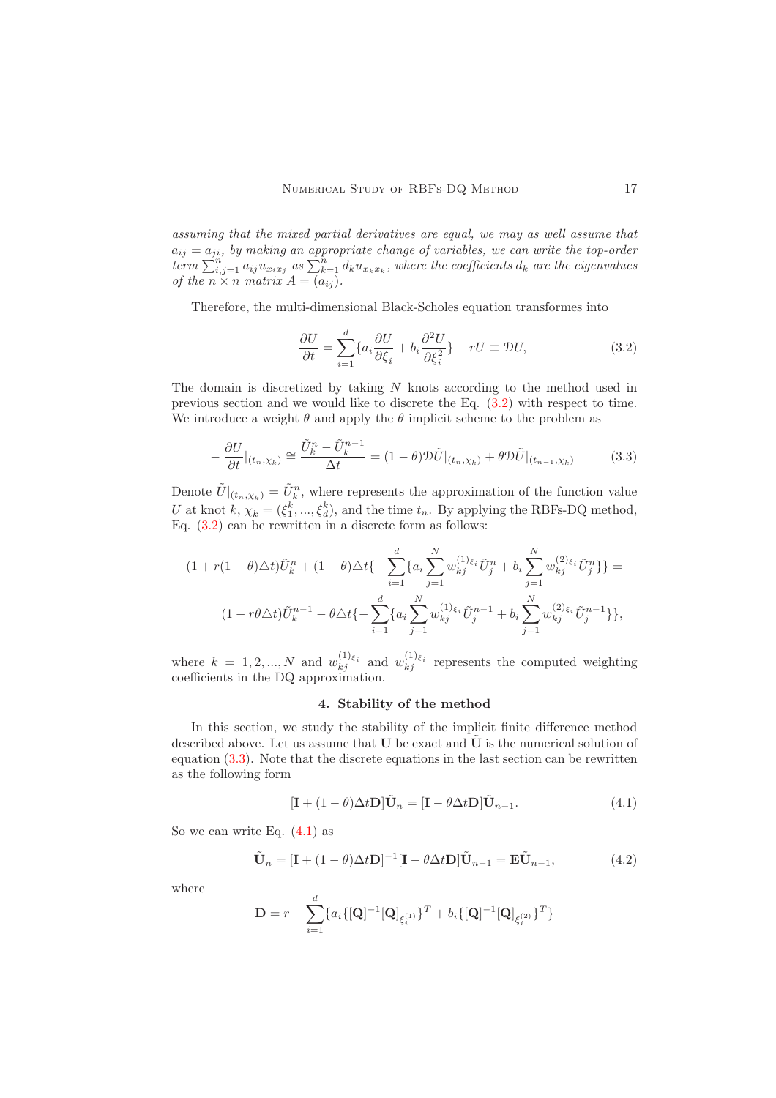assuming that the mixed partial derivatives are equal, we may as well assume that  $a_{ij} = a_{ji}$ , by making an appropriate change of variables, we can write the top-order term  $\sum_{i,j=1}^n a_{ij}u_{x_ix_j}$  as  $\sum_{k=1}^n d_ku_{x_kx_k}$ , where the coefficients  $d_k$  are the eigenvalues of the  $n \times n$  matrix  $A = (a_{ij}).$ 

Therefore, the multi-dimensional Black-Scholes equation transformes into

<span id="page-8-1"></span>
$$
-\frac{\partial U}{\partial t} = \sum_{i=1}^{d} \{a_i \frac{\partial U}{\partial \xi_i} + b_i \frac{\partial^2 U}{\partial \xi_i^2}\} - rU \equiv \mathcal{D}U,\tag{3.2}
$$

The domain is discretized by taking  $N$  knots according to the method used in previous section and we would like to discrete the Eq. [\(3.2\)](#page-8-1) with respect to time. We introduce a weight  $\theta$  and apply the  $\theta$  implicit scheme to the problem as

<span id="page-8-2"></span>
$$
-\frac{\partial U}{\partial t}\big|_{(t_n,\chi_k)} \cong \frac{\tilde{U}_k^n - \tilde{U}_k^{n-1}}{\Delta t} = (1-\theta)\mathcal{D}\tilde{U}\big|_{(t_n,\chi_k)} + \theta \mathcal{D}\tilde{U}\big|_{(t_{n-1},\chi_k)}\tag{3.3}
$$

Denote  $\tilde{U}|_{(t_n,\chi_k)} = \tilde{U}_k^n$ , where represents the approximation of the function value U at knot  $k, \chi_k = (\xi_1^k, ..., \xi_d^k)$ , and the time  $t_n$ . By applying the RBFs-DQ method, Eq.  $(3.2)$  can be rewritten in a discrete form as follows:

$$
(1 + r(1 - \theta)\triangle t)\tilde{U}_{k}^{n} + (1 - \theta)\triangle t\{-\sum_{i=1}^{d} \{a_{i} \sum_{j=1}^{N} w_{kj}^{(1)\xi_{i}} \tilde{U}_{j}^{n} + b_{i} \sum_{j=1}^{N} w_{kj}^{(2)\xi_{i}} \tilde{U}_{j}^{n}\}\} =
$$

$$
(1 - r\theta\triangle t)\tilde{U}_{k}^{n-1} - \theta\triangle t\{-\sum_{i=1}^{d} \{a_{i} \sum_{j=1}^{N} w_{kj}^{(1)\xi_{i}} \tilde{U}_{j}^{n-1} + b_{i} \sum_{j=1}^{N} w_{kj}^{(2)\xi_{i}} \tilde{U}_{j}^{n-1}\}\},
$$

<span id="page-8-0"></span>where  $k = 1, 2, ..., N$  and  $w_{kj}^{(1)\xi_i}$  and  $w_{kj}^{(1)\xi_i}$  represents the computed weighting coefficients in the DQ approximation.

## 4. Stability of the method

In this section, we study the stability of the implicit finite difference method described above. Let us assume that  $U$  be exact and  $\tilde{U}$  is the numerical solution of equation [\(3.3\)](#page-8-2). Note that the discrete equations in the last section can be rewritten as the following form

<span id="page-8-3"></span>
$$
[\mathbf{I} + (1 - \theta)\Delta t \mathbf{D}]\tilde{\mathbf{U}}_n = [\mathbf{I} - \theta \Delta t \mathbf{D}]\tilde{\mathbf{U}}_{n-1}.
$$
\n(4.1)

So we can write Eq.  $(4.1)$  as

$$
\tilde{\mathbf{U}}_n = [\mathbf{I} + (1 - \theta)\Delta t \mathbf{D}]^{-1} [\mathbf{I} - \theta \Delta t \mathbf{D}] \tilde{\mathbf{U}}_{n-1} = \mathbf{E} \tilde{\mathbf{U}}_{n-1},
$$
\n(4.2)

where

$$
\mathbf{D} = r - \sum_{i=1}^{d} \{ a_i \{ [\mathbf{Q}]^{-1} [\mathbf{Q}]_{\xi_i^{(1)}} \}^T + b_i \{ [\mathbf{Q}]^{-1} [\mathbf{Q}]_{\xi_i^{(2)}} \}^T \}
$$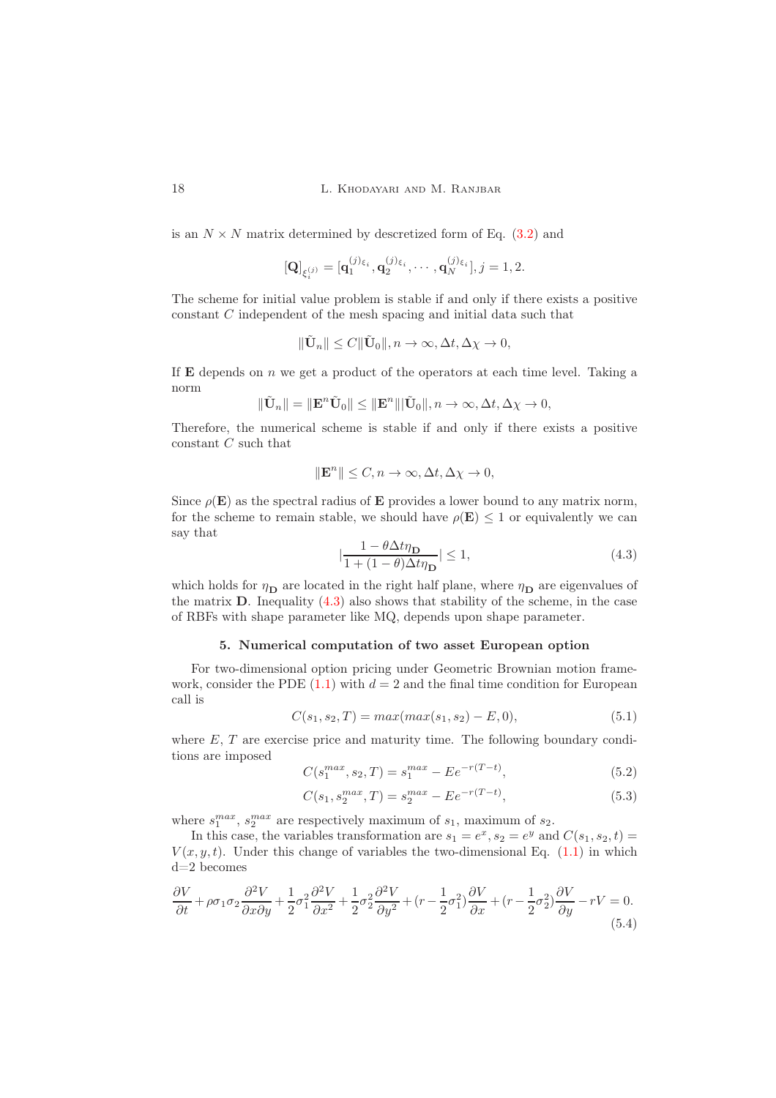is an  $N \times N$  matrix determined by descretized form of Eq. [\(3.2\)](#page-8-1) and

$$
[\mathbf{Q}]_{\xi_i^{(j)}} = [\mathbf{q}_1^{(j)_{\xi_i}}, \mathbf{q}_2^{(j)_{\xi_i}}, \cdots, \mathbf{q}_N^{(j)_{\xi_i}}], j = 1, 2.
$$

The scheme for initial value problem is stable if and only if there exists a positive constant C independent of the mesh spacing and initial data such that

$$
\|\tilde{\mathbf{U}}_n\| \le C \|\tilde{\mathbf{U}}_0\|, n \to \infty, \Delta t, \Delta \chi \to 0,
$$

If  $E$  depends on n we get a product of the operators at each time level. Taking a norm

$$
\|\tilde{\mathbf{U}}_n\| = \|\mathbf{E}^n \tilde{\mathbf{U}}_0\| \le \|\mathbf{E}^n\| \|\tilde{\mathbf{U}}_0\|, n \to \infty, \Delta t, \Delta \chi \to 0,
$$

Therefore, the numerical scheme is stable if and only if there exists a positive constant C such that

$$
\|\mathbf{E}^n\| \leq C, n \to \infty, \Delta t, \Delta \chi \to 0,
$$

Since  $\rho(E)$  as the spectral radius of E provides a lower bound to any matrix norm, for the scheme to remain stable, we should have  $\rho(\mathbf{E}) \leq 1$  or equivalently we can say that

<span id="page-9-1"></span>
$$
\left|\frac{1-\theta\Delta t\eta_{\mathbf{D}}}{1+(1-\theta)\Delta t\eta_{\mathbf{D}}}\right| \le 1,\tag{4.3}
$$

which holds for  $\eta_{\mathbf{D}}$  are located in the right half plane, where  $\eta_{\mathbf{D}}$  are eigenvalues of the matrix  $D$ . Inequality  $(4.3)$  also shows that stability of the scheme, in the case of RBFs with shape parameter like MQ, depends upon shape parameter.

### 5. Numerical computation of two asset European option

<span id="page-9-0"></span>For two-dimensional option pricing under Geometric Brownian motion framework, consider the PDE  $(1.1)$  with  $d = 2$  and the final time condition for European call is

$$
C(s_1, s_2, T) = max(max(s_1, s_2) - E, 0),
$$
\n(5.1)

where  $E, T$  are exercise price and maturity time. The following boundary conditions are imposed

$$
C(s_1^{max}, s_2, T) = s_1^{max} - E e^{-r(T-t)},
$$
\n(5.2)

$$
C(s_1, s_2^{max}, T) = s_2^{max} - E e^{-r(T-t)},
$$
\n(5.3)

where  $s_1^{max}$ ,  $s_2^{max}$  are respectively maximum of  $s_1$ , maximum of  $s_2$ .

In this case, the variables transformation are  $s_1 = e^x$ ,  $s_2 = e^y$  and  $C(s_1, s_2, t) =$  $V(x, y, t)$ . Under this change of variables the two-dimensional Eq. [\(1.1\)](#page-1-0) in which d=2 becomes

<span id="page-9-2"></span>
$$
\frac{\partial V}{\partial t} + \rho \sigma_1 \sigma_2 \frac{\partial^2 V}{\partial x \partial y} + \frac{1}{2} \sigma_1^2 \frac{\partial^2 V}{\partial x^2} + \frac{1}{2} \sigma_2^2 \frac{\partial^2 V}{\partial y^2} + (r - \frac{1}{2} \sigma_1^2) \frac{\partial V}{\partial x} + (r - \frac{1}{2} \sigma_2^2) \frac{\partial V}{\partial y} - rV = 0.
$$
\n(5.4)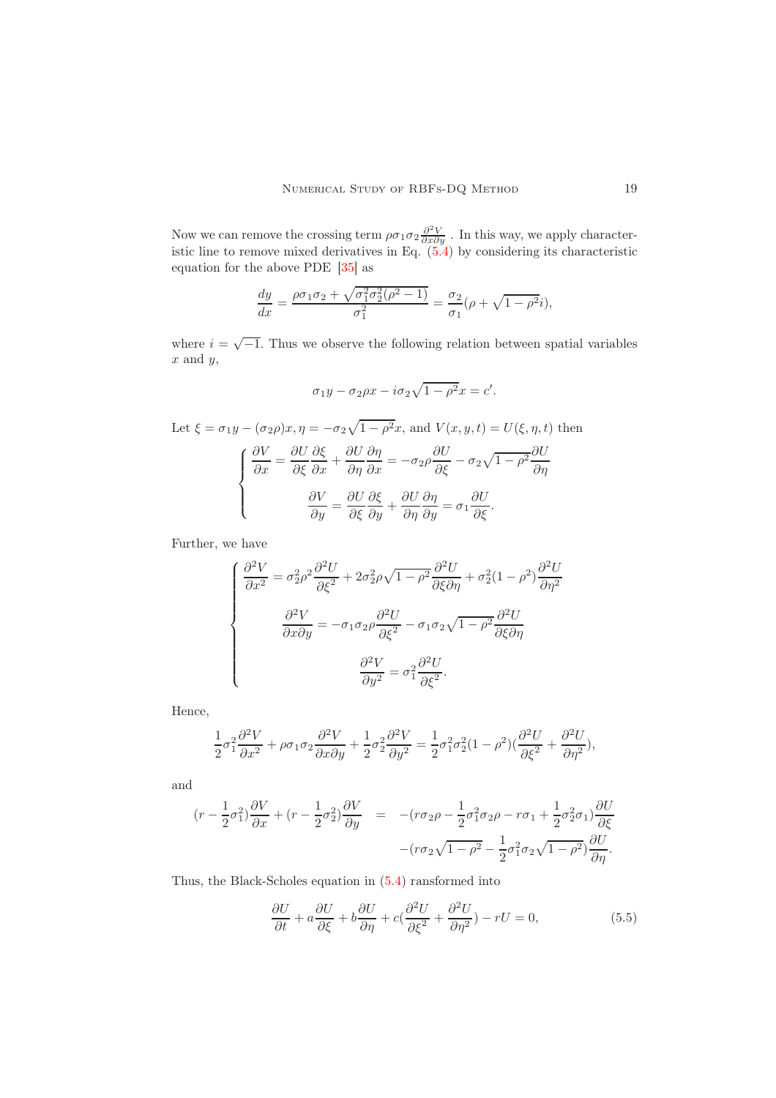Now we can remove the crossing term  $\rho\sigma_1\sigma_2\frac{\partial^2 V}{\partial x \partial y}$ . In this way, we apply characteristic line to remove mixed derivatives in Eq. [\(5.4\)](#page-9-2) by considering its characteristic equation for the above PDE [\[35\]](#page-14-15) as

$$
\frac{dy}{dx} = \frac{\rho \sigma_1 \sigma_2 + \sqrt{\sigma_1^2 \sigma_2^2 (\rho^2 - 1)}}{\sigma_1^2} = \frac{\sigma_2}{\sigma_1} (\rho + \sqrt{1 - \rho^2} i),
$$

where  $i = \sqrt{-1}$ . Thus we observe the following relation between spatial variables  $x$  and  $y$ ,

$$
\sigma_1 y - \sigma_2 \rho x - i \sigma_2 \sqrt{1 - \rho^2} x = c'.
$$

Let 
$$
\xi = \sigma_1 y - (\sigma_2 \rho)x
$$
,  $\eta = -\sigma_2 \sqrt{1 - \rho^2}x$ , and  $V(x, y, t) = U(\xi, \eta, t)$  then  
\n
$$
\begin{cases}\n\frac{\partial V}{\partial x} = \frac{\partial U}{\partial \xi} \frac{\partial \xi}{\partial x} + \frac{\partial U}{\partial \eta} \frac{\partial \eta}{\partial x} = -\sigma_2 \rho \frac{\partial U}{\partial \xi} - \sigma_2 \sqrt{1 - \rho^2} \frac{\partial U}{\partial \eta} \\
\frac{\partial V}{\partial y} = \frac{\partial U}{\partial \xi} \frac{\partial \xi}{\partial y} + \frac{\partial U}{\partial \eta} \frac{\partial \eta}{\partial y} = \sigma_1 \frac{\partial U}{\partial \xi}.\n\end{cases}
$$

Further, we have

$$
\begin{cases}\n\frac{\partial^2 V}{\partial x^2} = \sigma_2^2 \rho^2 \frac{\partial^2 U}{\partial \xi^2} + 2\sigma_2^2 \rho \sqrt{1 - \rho^2} \frac{\partial^2 U}{\partial \xi \partial \eta} + \sigma_2^2 (1 - \rho^2) \frac{\partial^2 U}{\partial \eta^2} \\
\frac{\partial^2 V}{\partial x \partial y} = -\sigma_1 \sigma_2 \rho \frac{\partial^2 U}{\partial \xi^2} - \sigma_1 \sigma_2 \sqrt{1 - \rho^2} \frac{\partial^2 U}{\partial \xi \partial \eta} \\
\frac{\partial^2 V}{\partial y^2} = \sigma_1^2 \frac{\partial^2 U}{\partial \xi^2}.\n\end{cases}
$$

Hence,

$$
\frac{1}{2}\sigma_1^2 \frac{\partial^2 V}{\partial x^2} + \rho \sigma_1 \sigma_2 \frac{\partial^2 V}{\partial x \partial y} + \frac{1}{2} \sigma_2^2 \frac{\partial^2 V}{\partial y^2} = \frac{1}{2} \sigma_1^2 \sigma_2^2 (1 - \rho^2) (\frac{\partial^2 U}{\partial \xi^2} + \frac{\partial^2 U}{\partial \eta^2}),
$$

and

$$
\begin{array}{rcl} (r-\frac{1}{2}\sigma_1^2)\frac{\partial V}{\partial x} + (r-\frac{1}{2}\sigma_2^2)\frac{\partial V}{\partial y} & = & -(r\sigma_2\rho-\frac{1}{2}\sigma_1^2\sigma_2\rho-r\sigma_1+\frac{1}{2}\sigma_2^2\sigma_1)\frac{\partial U}{\partial \xi} \\ & & -(r\sigma_2\sqrt{1-\rho^2}-\frac{1}{2}\sigma_1^2\sigma_2\sqrt{1-\rho^2})\frac{\partial U}{\partial \eta}. \end{array}
$$

Thus, the Black-Scholes equation in [\(5.4\)](#page-9-2) ransformed into

<span id="page-10-0"></span>
$$
\frac{\partial U}{\partial t} + a \frac{\partial U}{\partial \xi} + b \frac{\partial U}{\partial \eta} + c \left( \frac{\partial^2 U}{\partial \xi^2} + \frac{\partial^2 U}{\partial \eta^2} \right) - rU = 0, \tag{5.5}
$$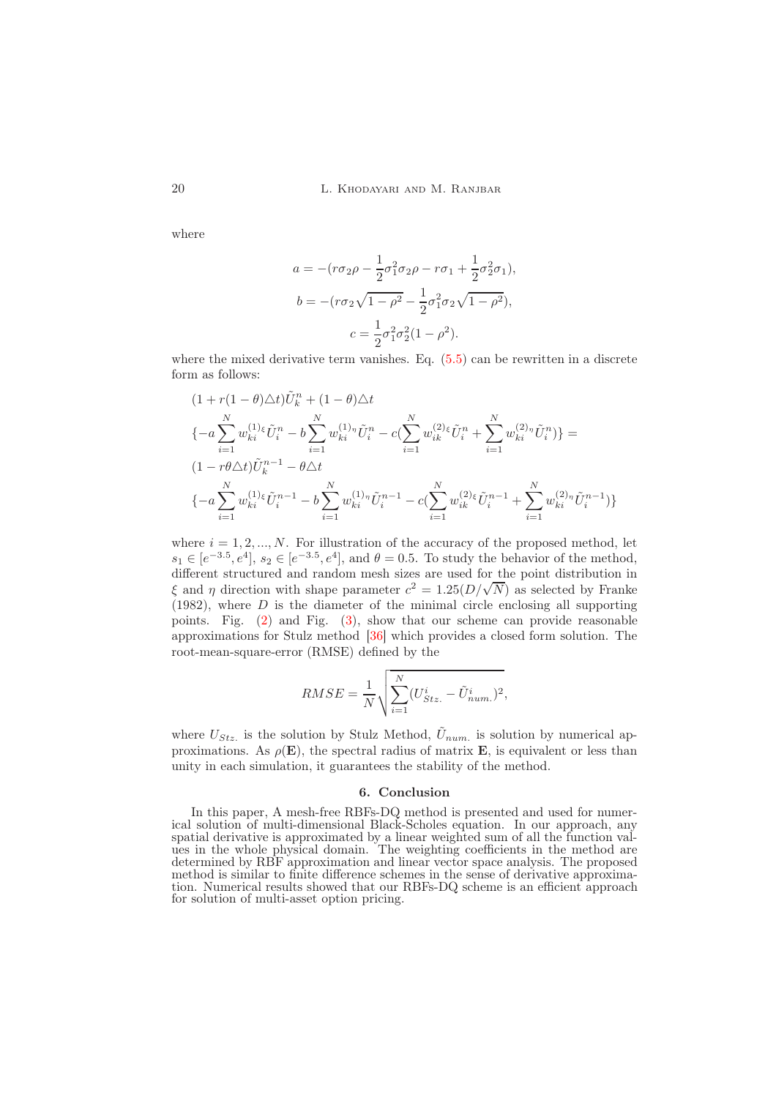where

$$
a = -(r\sigma_2 \rho - \frac{1}{2}\sigma_1^2 \sigma_2 \rho - r\sigma_1 + \frac{1}{2}\sigma_2^2 \sigma_1),
$$
  

$$
b = -(r\sigma_2 \sqrt{1-\rho^2} - \frac{1}{2}\sigma_1^2 \sigma_2 \sqrt{1-\rho^2}),
$$
  

$$
c = \frac{1}{2}\sigma_1^2 \sigma_2^2 (1-\rho^2).
$$

where the mixed derivative term vanishes. Eq. [\(5.5\)](#page-10-0) can be rewritten in a discrete form as follows:

$$
(1 + r(1 - \theta) \triangle t) \tilde{U}_k^n + (1 - \theta) \triangle t
$$
  
\n
$$
\{-a \sum_{i=1}^N w_{ki}^{(1)} \tilde{U}_i^n - b \sum_{i=1}^N w_{ki}^{(1)} \tilde{U}_i^n - c \sum_{i=1}^N w_{ik}^{(2)} \tilde{U}_i^n + \sum_{i=1}^N w_{ki}^{(2)} \tilde{U}_i^n\}
$$
  
\n
$$
(1 - r\theta \triangle t) \tilde{U}_k^{n-1} - \theta \triangle t
$$
  
\n
$$
\{-a \sum_{i=1}^N w_{ki}^{(1)} \tilde{U}_i^{n-1} - b \sum_{i=1}^N w_{ki}^{(1)} \tilde{U}_i^{n-1} - c \sum_{i=1}^N w_{ik}^{(2)} \tilde{U}_i^{n-1} + \sum_{i=1}^N w_{ki}^{(2)} \tilde{U}_i^{n-1}\}
$$

where  $i = 1, 2, ..., N$ . For illustration of the accuracy of the proposed method, let  $s_1 \in [e^{-3.5}, e^4]$ ,  $s_2 \in [e^{-3.5}, e^4]$ , and  $\theta = 0.5$ . To study the behavior of the method, different structured and random mesh sizes are used for the point distribution in  $ξ$  and η direction with shape parameter  $c^2 = 1.25(D/\sqrt{N})$  as selected by Franke  $(1982)$ , where D is the diameter of the minimal circle enclosing all supporting points. Fig. [\(2\)](#page-12-0) and Fig. [\(3\)](#page-12-1), show that our scheme can provide reasonable approximations for Stulz method [\[36\]](#page-14-16) which provides a closed form solution. The root-mean-square-error (RMSE) defined by the

$$
RMSE = \frac{1}{N} \sqrt{\sum_{i=1}^{N} (U_{Stz.}^{i} - \tilde{U}_{num.}^{i})^{2}},
$$

where  $U_{Stz}$  is the solution by Stulz Method,  $\tilde{U}_{num}$  is solution by numerical approximations. As  $\rho(E)$ , the spectral radius of matrix E, is equivalent or less than unity in each simulation, it guarantees the stability of the method.

#### 6. Conclusion

<span id="page-11-0"></span>In this paper, A mesh-free RBFs-DQ method is presented and used for numerical solution of multi-dimensional Black-Scholes equation. In our approach, any spatial derivative is approximated by a linear weighted sum of all the function values in the whole physical domain. The weighting coefficients in the method are determined by RBF approximation and linear vector space analysis. The proposed method is similar to finite difference schemes in the sense of derivative approximation. Numerical results showed that our RBFs-DQ scheme is an efficient approach for solution of multi-asset option pricing.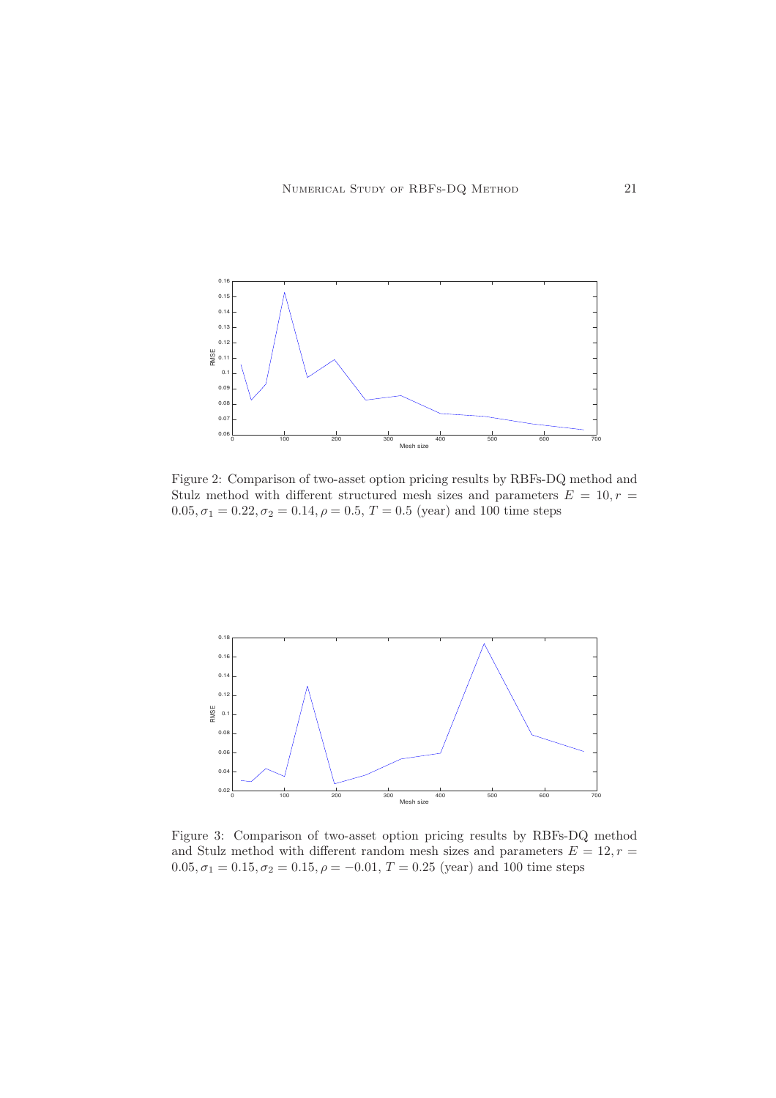

<span id="page-12-0"></span>Figure 2: Comparison of two-asset option pricing results by RBFs-DQ method and Stulz method with different structured mesh sizes and parameters  $E = 10, r =$  $0.05, \sigma_1 = 0.22, \sigma_2 = 0.14, \rho = 0.5, T = 0.5$  (year) and 100 time steps



<span id="page-12-1"></span>Figure 3: Comparison of two-asset option pricing results by RBFs-DQ method and Stulz method with different random mesh sizes and parameters  $E = 12, r =$  $0.05, \sigma_1 = 0.15, \sigma_2 = 0.15, \rho = -0.01,$   $T = 0.25$  (year) and 100 time steps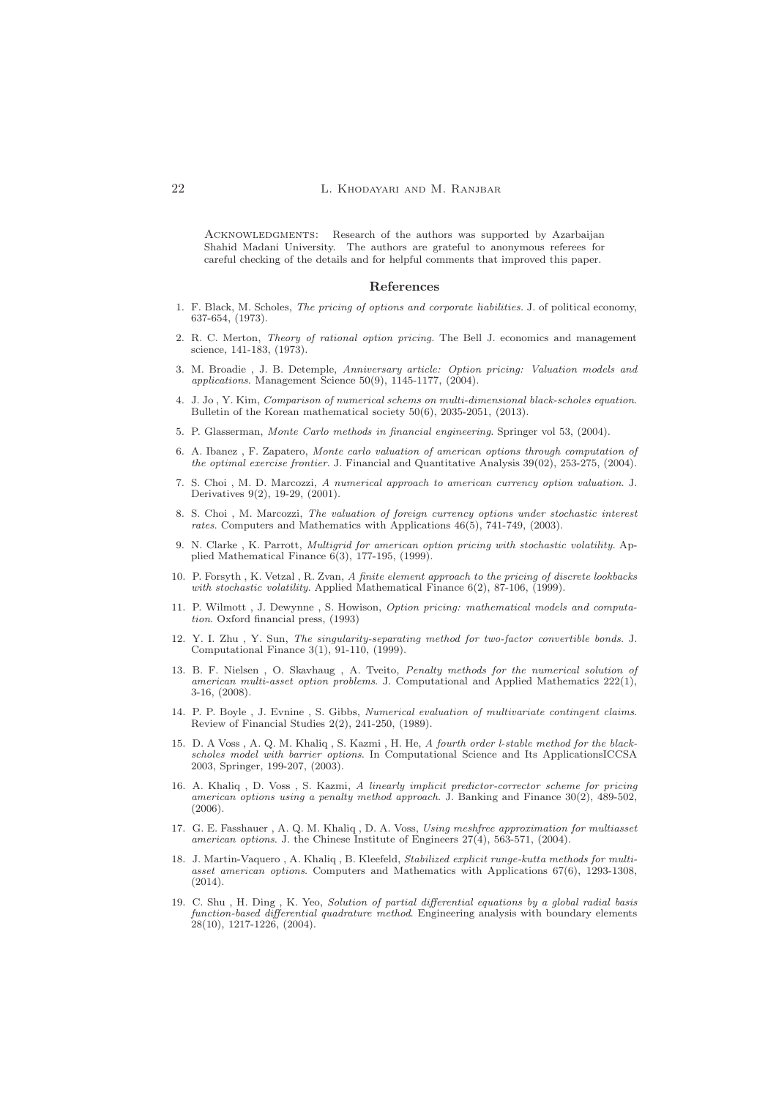ACKNOWLEDGMENTS: Research of the authors was supported by Azarbaijan Shahid Madani University. The authors are grateful to anonymous referees for careful checking of the details and for helpful comments that improved this paper.

#### <span id="page-13-0"></span>References

- <span id="page-13-1"></span>1. F. Black, M. Scholes, The pricing of options and corporate liabilities. J. of political economy, 637-654, (1973).
- <span id="page-13-2"></span>2. R. C. Merton, Theory of rational option pricing. The Bell J. economics and management science, 141-183, (1973).
- <span id="page-13-3"></span>3. M. Broadie , J. B. Detemple, Anniversary article: Option pricing: Valuation models and applications. Management Science 50(9), 1145-1177, (2004).
- <span id="page-13-4"></span>4. J. Jo , Y. Kim, Comparison of numerical schems on multi-dimensional black-scholes equation. Bulletin of the Korean mathematical society 50(6), 2035-2051, (2013).
- <span id="page-13-6"></span><span id="page-13-5"></span>5. P. Glasserman, Monte Carlo methods in financial engineering. Springer vol 53, (2004).
- 6. A. Ibanez , F. Zapatero, Monte carlo valuation of american options through computation of the optimal exercise frontier. J. Financial and Quantitative Analysis  $39(02)$ ,  $253-275$ ,  $(2004)$ .
- <span id="page-13-7"></span>7. S. Choi , M. D. Marcozzi, A numerical approach to american currency option valuation. J. Derivatives 9(2), 19-29, (2001).
- <span id="page-13-8"></span>8. S. Choi , M. Marcozzi, The valuation of foreign currency options under stochastic interest rates. Computers and Mathematics with Applications 46(5), 741-749, (2003).
- <span id="page-13-9"></span>9. N. Clarke , K. Parrott, Multigrid for american option pricing with stochastic volatility. Applied Mathematical Finance 6(3), 177-195, (1999).
- <span id="page-13-10"></span>10. P. Forsyth , K. Vetzal , R. Zvan, A finite element approach to the pricing of discrete lookbacks with stochastic volatility. Applied Mathematical Finance 6(2), 87-106, (1999).
- <span id="page-13-11"></span>11. P. Wilmott , J. Dewynne , S. Howison, Option pricing: mathematical models and computation. Oxford financial press, (1993)
- <span id="page-13-12"></span>12. Y. I. Zhu , Y. Sun, The singularity-separating method for two-factor convertible bonds. J. Computational Finance 3(1), 91-110, (1999).
- <span id="page-13-13"></span>13. B. F. Nielsen , O. Skavhaug , A. Tveito, Penalty methods for the numerical solution of american multi-asset option problems. J. Computational and Applied Mathematics 222(1), 3-16, (2008).
- <span id="page-13-14"></span>14. P. P. Boyle , J. Evnine , S. Gibbs, Numerical evaluation of multivariate contingent claims. Review of Financial Studies 2(2), 241-250, (1989).
- <span id="page-13-15"></span>15. D. A Voss , A. Q. M. Khaliq , S. Kazmi , H. He, A fourth order l-stable method for the blackscholes model with barrier options. In Computational Science and Its ApplicationsICCSA 2003, Springer, 199-207, (2003).
- <span id="page-13-16"></span>16. A. Khaliq , D. Voss , S. Kazmi, A linearly implicit predictor-corrector scheme for pricing american options using a penalty method approach. J. Banking and Finance 30(2), 489-502, (2006).
- <span id="page-13-17"></span>17. G. E. Fasshauer , A. Q. M. Khaliq , D. A. Voss, Using meshfree approximation for multiasset american options. J. the Chinese Institute of Engineers 27(4), 563-571, (2004).
- <span id="page-13-18"></span>18. J. Martin-Vaquero , A. Khaliq , B. Kleefeld, Stabilized explicit runge-kutta methods for multiasset american options. Computers and Mathematics with Applications 67(6), 1293-1308, (2014).
- <span id="page-13-19"></span>19. C. Shu , H. Ding , K. Yeo, Solution of partial differential equations by a global radial basis function-based differential quadrature method. Engineering analysis with boundary elements  $28(10)$ , 1217-1226, (2004).